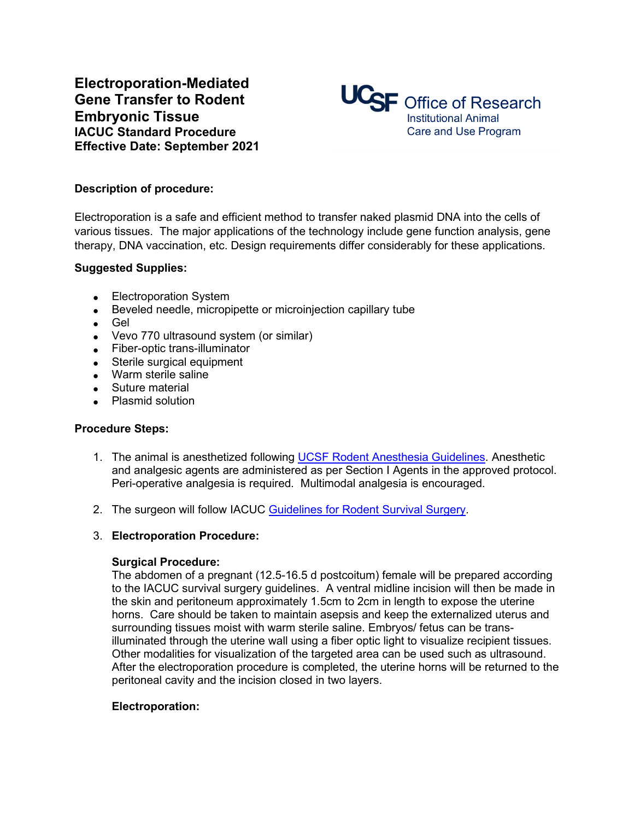**Electroporation-Mediated Gene Transfer to Rodent Embryonic Tissue IACUC Standard Procedure Effective Date: September 2021**



### **Description of procedure:**

Electroporation is a safe and efficient method to transfer naked plasmid DNA into the cells of various tissues. The major applications of the technology include gene function analysis, gene therapy, DNA vaccination, etc. Design requirements differ considerably for these applications.

#### **Suggested Supplies:**

- Electroporation System
- Beveled needle, micropipette or microinjection capillary tube
- Gel
- Vevo 770 ultrasound system (or similar)
- Fiber-optic trans-illuminator
- Sterile surgical equipment
- Warm sterile saline
- Suture material
- Plasmid solution

#### **Procedure Steps:**

- 1. The animal is anesthetized following UCSF [Rodent Anesthesia Guidelines.](https://iacuc.ucsf.edu/sites/g/files/tkssra751/f/wysiwyg/Guideline%20-%20Anesthesia%20-%20Rodents.pdf) Anesthetic and analgesic agents are administered as per Section I Agents in the approved protocol. Peri-operative analgesia is required. Multimodal analgesia is encouraged.
- 2. The surgeon will follow IACUC Guidelines for Rodent Survival Surgery.

## 3. **Electroporation Procedure:**

#### **Surgical Procedure:**

The abdomen of a pregnant (12.5-16.5 d postcoitum) female will be prepared according to the IACUC survival surgery guidelines. A ventral midline incision will then be made in the skin and peritoneum approximately 1.5cm to 2cm in length to expose the uterine horns. Care should be taken to maintain asepsis and keep the externalized uterus and surrounding tissues moist with warm sterile saline. Embryos/ fetus can be transilluminated through the uterine wall using a fiber optic light to visualize recipient tissues. Other modalities for visualization of the targeted area can be used such as ultrasound. After the electroporation procedure is completed, the uterine horns will be returned to the peritoneal cavity and the incision closed in two layers.

#### **Electroporation:**